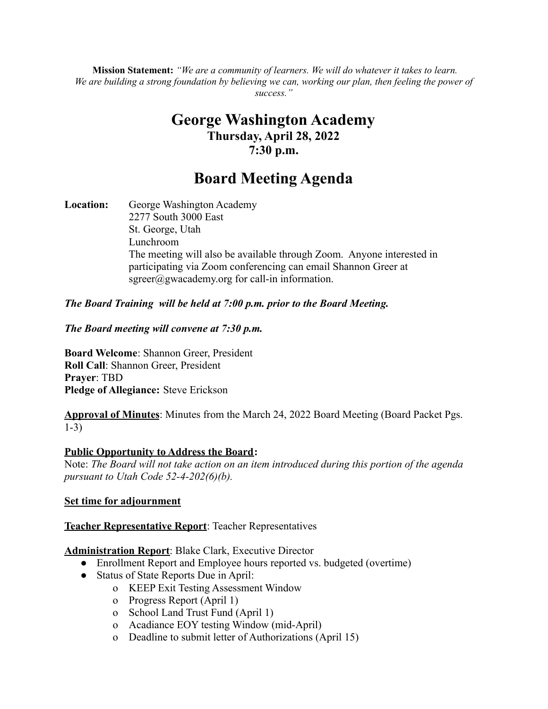**Mission Statement:** *"We are a community of learners. We will do whatever it takes to learn.* We are building a strong foundation by believing we can, working our plan, then feeling the power of *success."*

# **George Washington Academy Thursday, April 28, 2022 7:30 p.m.**

# **Board Meeting Agenda**

**Location:** George Washington Academy 2277 South 3000 East St. George, Utah Lunchroom The meeting will also be available through Zoom. Anyone interested in participating via Zoom conferencing can email Shannon Greer at  $sgreen(\hat{a})$ gwacademy.org for call-in information.

# *The Board Training will be held at 7:00 p.m. prior to the Board Meeting.*

#### *The Board meeting will convene at 7:30 p.m.*

**Board Welcome**: Shannon Greer, President **Roll Call**: Shannon Greer, President **Prayer**: TBD **Pledge of Allegiance:** Steve Erickson

**Approval of Minutes**: Minutes from the March 24, 2022 Board Meeting (Board Packet Pgs. 1-3)

#### **Public Opportunity to Address the Board:**

Note: *The Board will not take action on an item introduced during this portion of the agenda pursuant to Utah Code 52-4-202(6)(b).*

#### **Set time for adjournment**

#### **Teacher Representative Report**: Teacher Representatives

#### **Administration Report**: Blake Clark, Executive Director

- Enrollment Report and Employee hours reported vs. budgeted (overtime)
- Status of State Reports Due in April:
	- o KEEP Exit Testing Assessment Window
		- o Progress Report (April 1)
		- o School Land Trust Fund (April 1)
		- o Acadiance EOY testing Window (mid-April)
		- o Deadline to submit letter of Authorizations (April 15)